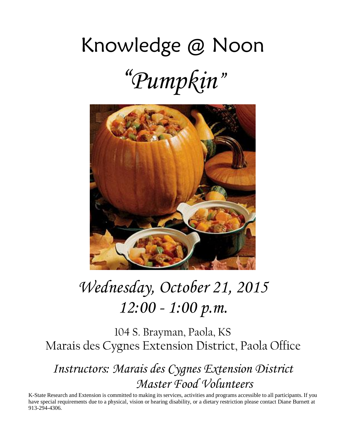# Knowledge @ Noon "*Pumpkin*"



# *Wednesday, October 21, 2015 12:00 - 1:00 p.m.*

104 S. Brayman, Paola, KS Marais des Cygnes Extension District, Paola Office

*Instructors: Marais des Cygnes Extension District Master Food Volunteers*

K-State Research and Extension is committed to making its services, activities and programs accessible to all participants. If you have special requirements due to a physical, vision or hearing disability, or a dietary restriction please contact Diane Burnett at 913-294-4306.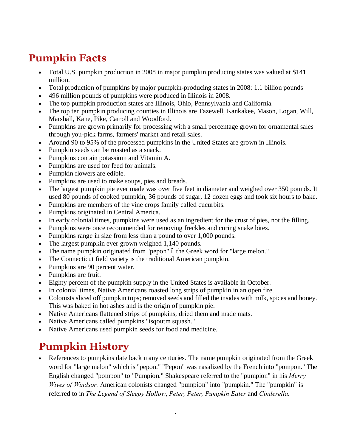# **Pumpkin Facts**

- Total U.S. pumpkin production in 2008 in major pumpkin producing states was valued at \$141 million.
- · Total production of pumpkins by major pumpkin-producing states in 2008: 1.1 billion pounds
- · 496 million pounds of pumpkins were produced in Illinois in 2008.
- · The top pumpkin production states are Illinois, Ohio, Pennsylvania and California.
- · The top ten pumpkin producing counties in Illinois are Tazewell, Kankakee, Mason, Logan, Will, Marshall, Kane, Pike, Carroll and Woodford.
- · Pumpkins are grown primarily for processing with a small percentage grown for ornamental sales through you-pick farms, farmers' market and retail sales.
- · Around 90 to 95% of the processed pumpkins in the United States are grown in Illinois.
- Pumpkin seeds can be roasted as a snack.
- Pumpkins contain potassium and Vitamin A.
- Pumpkins are used for feed for animals.
- · Pumpkin flowers are edible.
- · Pumpkins are used to make soups, pies and breads.
- The largest pumpkin pie ever made was over five feet in diameter and weighed over 350 pounds. It used 80 pounds of cooked pumpkin, 36 pounds of sugar, 12 dozen eggs and took six hours to bake.
- · Pumpkins are members of the vine crops family called cucurbits.
- · Pumpkins originated in Central America.
- In early colonial times, pumpkins were used as an ingredient for the crust of pies, not the filling.
- · Pumpkins were once recommended for removing freckles and curing snake bites.
- Pumpkins range in size from less than a pound to over 1,000 pounds.
- The largest pumpkin ever grown weighed 1,140 pounds.
- The name pumpkin originated from "pepon" 6 the Greek word for "large melon."
- · The Connecticut field variety is the traditional American pumpkin.
- Pumpkins are 90 percent water.
- · Pumpkins are fruit.
- Eighty percent of the pumpkin supply in the United States is available in October.
- In colonial times, Native Americans roasted long strips of pumpkin in an open fire.
- · Colonists sliced off pumpkin tops; removed seeds and filled the insides with milk, spices and honey. This was baked in hot ashes and is the origin of pumpkin pie.
- · Native Americans flattened strips of pumpkins, dried them and made mats.
- Native Americans called pumpkins "isqoutm squash."
- · Native Americans used pumpkin seeds for food and medicine.

## **Pumpkin History**

· References to pumpkins date back many centuries. The name pumpkin originated from the Greek word for "large melon" which is "pepon." "Pepon" was nasalized by the French into "pompon." The English changed "pompon" to "Pumpion." Shakespeare referred to the "pumpion" in his *Merry Wives of Windsor.* American colonists changed "pumpion" into "pumpkin." The "pumpkin" is referred to in *The Legend of Sleepy Hollow*, *Peter, Peter, Pumpkin Eater* and *Cinderella.*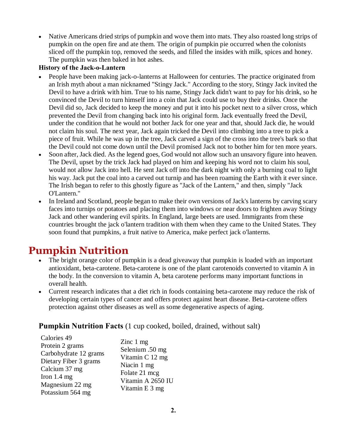· Native Americans dried strips of pumpkin and wove them into mats. They also roasted long strips of pumpkin on the open fire and ate them. The origin of pumpkin pie occurred when the colonists sliced off the pumpkin top, removed the seeds, and filled the insides with milk, spices and honey. The pumpkin was then baked in hot ashes.

#### **History of the Jack-o-Lantern**

- · People have been making jack-o-lanterns at Halloween for centuries. The practice originated from an Irish myth about a man nicknamed "Stingy Jack." According to the story, Stingy Jack invited the Devil to have a drink with him. True to his name, Stingy Jack didn't want to pay for his drink, so he convinced the Devil to turn himself into a coin that Jack could use to buy their drinks. Once the Devil did so, Jack decided to keep the money and put it into his pocket next to a silver cross, which prevented the Devil from changing back into his original form. Jack eventually freed the Devil, under the condition that he would not bother Jack for one year and that, should Jack die, he would not claim his soul. The next year, Jack again tricked the Devil into climbing into a tree to pick a piece of fruit. While he was up in the tree, Jack carved a sign of the cross into the tree's bark so that the Devil could not come down until the Devil promised Jack not to bother him for ten more years.
- · Soon after, Jack died. As the legend goes, God would not allow such an unsavory figure into heaven. The Devil, upset by the trick Jack had played on him and keeping his word not to claim his soul, would not allow Jack into hell. He sent Jack off into the dark night with only a burning coal to light his way. Jack put the coal into a carved out turnip and has been roaming the Earth with it ever since. The Irish began to refer to this ghostly figure as "Jack of the Lantern," and then, simply "Jack O'Lantern."
- · In Ireland and Scotland, people began to make their own versions of Jack's lanterns by carving scary faces into turnips or potatoes and placing them into windows or near doors to frighten away Stingy Jack and other wandering evil spirits. In England, large beets are used. Immigrants from these countries brought the jack o'lantern tradition with them when they came to the United States. They soon found that pumpkins, a fruit native to America, make perfect jack o'lanterns.

### **Pumpkin Nutrition**

- The bright orange color of pumpkin is a dead giveaway that pumpkin is loaded with an important antioxidant, beta-carotene. Beta-carotene is one of the plant carotenoids converted to vitamin A in the body. In the conversion to vitamin A, beta carotene performs many important functions in overall health.
- · Current research indicates that a diet rich in foods containing beta-carotene may reduce the risk of developing certain types of cancer and offers protect against heart disease. Beta-carotene offers protection against other diseases as well as some degenerative aspects of aging.

#### **Pumpkin Nutrition Facts** (1 cup cooked, boiled, drained, without salt)

| Calories 49           | Zinc 1 mg         |
|-----------------------|-------------------|
| Protein 2 grams       | Selenium .50 mg   |
| Carbohydrate 12 grams | Vitamin C 12 mg   |
| Dietary Fiber 3 grams | Niacin 1 mg       |
| Calcium 37 mg         | Folate 21 mcg     |
| Iron $1.4 \text{ mg}$ | Vitamin A 2650 IU |
| Magnesium 22 mg       | Vitamin E 3 mg    |
| Potassium 564 mg      |                   |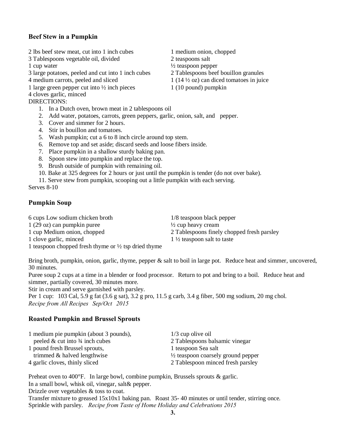#### **Beef Stew in a Pumpkin**

- 2 lbs beef stew meat, cut into 1 inch cubes 1 medium onion, chopped
- 3 Tablespoons vegetable oil, divided 2 teaspoons salt

- 3 large potatoes, peeled and cut into 1 inch cubes 2 Tablespoons beef bouillon granules
- 4 medium carrots, peeled and sliced 1 (14  $\frac{1}{2}$  oz) can diced tomatoes in juice
- 1 large green pepper cut into  $\frac{1}{2}$  inch pieces 1 (10 pound) pumpkin
- 4 cloves garlic, minced

#### DIRECTIONS:

- 1. In a Dutch oven, brown meat in 2 tablespoons oil
- 2. Add water, potatoes, carrots, green peppers, garlic, onion, salt, and pepper.
- 3. Cover and simmer for 2 hours.
- 4. Stir in bouillon and tomatoes.
- 5. Wash pumpkin; cut a 6 to 8 inch circle around top stem.
- 6. Remove top and set aside; discard seeds and loose fibers inside.
- 7. Place pumpkin in a shallow sturdy baking pan.
- 8. Spoon stew into pumpkin and replace the top.
- 9. Brush outside of pumpkin with remaining oil.
- 10. Bake at 325 degrees for 2 hours or just until the pumpkin is tender (do not over bake).
- 11. Serve stew from pumpkin, scooping out a little pumpkin with each serving.

Serves 8-10

#### **Pumpkin Soup**

6 cups Low sodium chicken broth 1/8 teaspoon black pepper  $1 (29 oz)$  can pumpkin puree  $\frac{1}{2}$  cup heavy cream

- 
- 

1 cup Medium onion, chopped 2 Tablespoons finely chopped fresh parsley 1 clove garlic, minced 1 1/2 teaspoon salt to taste

1 teaspoon chopped fresh thyme or  $\frac{1}{2}$  tsp dried thyme

Bring broth, pumpkin, onion, garlic, thyme, pepper & salt to boil in large pot. Reduce heat and simmer, uncovered, 30 minutes.

Puree soup 2 cups at a time in a blender or food processor. Return to pot and bring to a boil. Reduce heat and simmer, partially covered, 30 minutes more.

Stir in cream and serve garnished with parsley.

Per 1 cup: 103 Cal, 5.9 g fat (3.6 g sat), 3.2 g pro, 11.5 g carb, 3.4 g fiber, 500 mg sodium, 20 mg chol. *Recipe from All Recipes Sep/Oct 2015*

#### **Roasted Pumpkin and Brussel Sprouts**

| 1 medium pie pumpkin (about 3 pounds),       | $1/3$ cup olive oil                           |
|----------------------------------------------|-----------------------------------------------|
| peeled $&$ cut into $\frac{3}{4}$ inch cubes | 2 Tablespoons balsamic vinegar                |
| 1 pound fresh Brussel sprouts,               | 1 teaspoon Sea salt                           |
| trimmed & halved lengthwise                  | $\frac{1}{2}$ teaspoon coarsely ground pepper |
| 4 garlic cloves, thinly sliced               | 2 Tablespoon minced fresh parsley             |

Preheat oven to 400°F. In large bowl, combine pumpkin, Brussels sprouts & garlic. In a small bowl, whisk oil, vinegar, salt& pepper. Drizzle over vegetables & toss to coat. Transfer mixture to greased 15x10x1 baking pan. Roast 35- 40 minutes or until tender, stirring once.

- 
- 
- $\frac{1}{2}$  teaspoon pepper
	-
	-
	-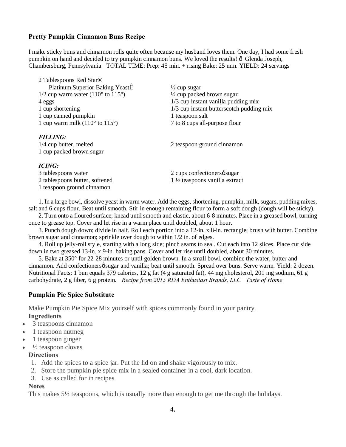#### **Pretty Pumpkin Cinnamon Buns Recipe**

I make sticky buns and cinnamon rolls quite often because my husband loves them. One day, I had some fresh pumpkin on hand and decided to try pumpkin cinnamon buns. We loved the results!  $\delta$  Glenda Joseph, Chambersburg, Pennsylvania TOTAL TIME: Prep: 45 min. + rising Bake: 25 min. YIELD: 24 servings

| 2 Tablespoons Red Star®                                |                                          |
|--------------------------------------------------------|------------------------------------------|
| Platinum Superior Baking Yeastl                        | $\frac{1}{2}$ cup sugar                  |
| $1/2$ cup warm water (110 $\degree$ to 115 $\degree$ ) | $\frac{1}{2}$ cup packed brown sugar     |
| 4 eggs                                                 | $1/3$ cup instant vanilla pudding mix    |
| 1 cup shortening                                       | 1/3 cup instant butterscotch pudding mix |
| 1 cup canned pumpkin                                   | 1 teaspoon salt                          |
| 1 cup warm milk $(110^{\circ}$ to $115^{\circ})$       | 7 to 8 cups all-purpose flour            |
| <b>FILLING:</b>                                        |                                          |
| 1/4 cup butter, melted                                 | 2 teaspoon ground cinnamon               |
| 1 cup packed brown sugar                               |                                          |
| <b>ICING:</b>                                          |                                          |
| 3 tablespoons water                                    | 2 cups confectioners osugar              |
| 2 tablespoons butter, softened                         | $1\frac{1}{2}$ teaspoons vanilla extract |

 1. In a large bowl, dissolve yeast in warm water. Add the eggs, shortening, pumpkin, milk, sugars, pudding mixes, salt and 6 cups flour. Beat until smooth. Stir in enough remaining flour to form a soft dough (dough will be sticky).

 2. Turn onto a floured surface; knead until smooth and elastic, about 6-8 minutes. Place in a greased bowl, turning once to grease top. Cover and let rise in a warm place until doubled, about 1 hour.

 3. Punch dough down; divide in half. Roll each portion into a 12-in. x 8-in. rectangle; brush with butter. Combine brown sugar and cinnamon; sprinkle over dough to within 1/2 in. of edges.

 4. Roll up jelly-roll style, starting with a long side; pinch seams to seal. Cut each into 12 slices. Place cut side down in two greased 13-in. x 9-in. baking pans. Cover and let rise until doubled, about 30 minutes.

 5. Bake at 350° for 22-28 minutes or until golden brown. In a small bowl, combine the water, butter and cinnamon. Add confectioners $\emptyset$  sugar and vanilla; beat until smooth. Spread over buns. Serve warm. Yield: 2 dozen. Nutritional Facts: 1 bun equals 379 calories, 12 g fat (4 g saturated fat), 44 mg cholesterol, 201 mg sodium, 61 g carbohydrate, 2 g fiber, 6 g protein. *Recipe from 2015 RDA Enthusiast Brands, LLC Taste of Home*

#### **Pumpkin Pie Spice Substitute**

1 teaspoon ground cinnamon

Make Pumpkin Pie Spice Mix yourself with spices commonly found in your pantry. **Ingredients**

- · 3 teaspoons cinnamon
- · 1 teaspoon nutmeg
- · 1 teaspoon ginger
- $\frac{1}{2}$  teaspoon cloves

#### **Directions**

- 1. Add the spices to a spice jar. Put the lid on and shake vigorously to mix.
- 2. Store the pumpkin pie spice mix in a sealed container in a cool, dark location.
- 3. Use as called for in recipes.

#### **Notes**

This makes 5½ teaspoons, which is usually more than enough to get me through the holidays.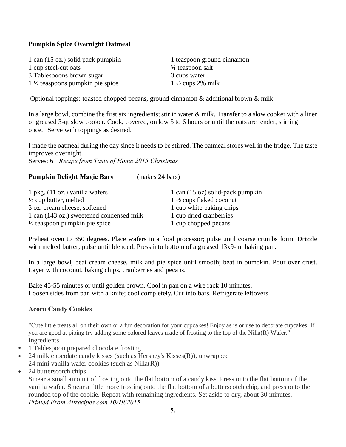#### **Pumpkin Spice Overnight Oatmeal**

1 can (15 oz.) solid pack pumpkin 1 teaspoon ground cinnamon 1 cup steel-cut oats <br>  $\frac{3}{4}$  teaspoon salt 3 Tablespoons brown sugar 3 cups water 1 ½ teaspoons pumpkin pie spice 1 ½ cups 2% milk

Optional toppings: toasted chopped pecans, ground cinnamon & additional brown & milk.

In a large bowl, combine the first six ingredients; stir in water & milk. Transfer to a slow cooker with a liner or greased 3-qt slow cooker. Cook, covered, on low 5 to 6 hours or until the oats are tender, stirring once. Serve with toppings as desired.

I made the oatmeal during the day since it needs to be stirred. The oatmeal stores well in the fridge. The taste improves overnight. Serves: 6 *Recipe from Taste of Home 2015 Christmas*

#### **Pumpkin Delight Magic Bars** (makes 24 bars)

| $1$ pkg. $(11 \text{ oz.})$ vanilla wafers | 1 can (15 oz) solid-pack pumpkin   |
|--------------------------------------------|------------------------------------|
| $\frac{1}{2}$ cup butter, melted           | $1\frac{1}{2}$ cups flaked coconut |
| 3 oz. cream cheese, softened               | 1 cup white baking chips           |
| 1 can (143 oz.) sweetened condensed milk   | 1 cup dried cranberries            |
| $\frac{1}{2}$ teaspoon pumpkin pie spice   | 1 cup chopped pecans               |

Preheat oven to 350 degrees. Place wafers in a food processor; pulse until coarse crumbs form. Drizzle with melted butter; pulse until blended. Press into bottom of a greased 13x9-in. baking pan.

In a large bowl, beat cream cheese, milk and pie spice until smooth; beat in pumpkin. Pour over crust. Layer with coconut, baking chips, cranberries and pecans.

Bake 45-55 minutes or until golden brown. Cool in pan on a wire rack 10 minutes. Loosen sides from pan with a knife; cool completely. Cut into bars. Refrigerate leftovers.

#### **Acorn Candy Cookies**

"Cute little treats all on their own or a fun decoration for your cupcakes! Enjoy as is or use to decorate cupcakes. If you are good at piping try adding some colored leaves made of frosting to the top of the Nilla(R) Wafer." Ingredients

- 1 Tablespoon prepared chocolate frosting
- 24 milk chocolate candy kisses (such as Hershey's Kisses $(R)$ ), unwrapped 24 mini vanilla wafer cookies (such as Nilla(R))
- 24 butterscotch chips

Smear a small amount of frosting onto the flat bottom of a candy kiss. Press onto the flat bottom of the vanilla wafer. Smear a little more frosting onto the flat bottom of a butterscotch chip, and press onto the rounded top of the cookie. Repeat with remaining ingredients. Set aside to dry, about 30 minutes. *Printed From Allrecipes.com 10/19/2015*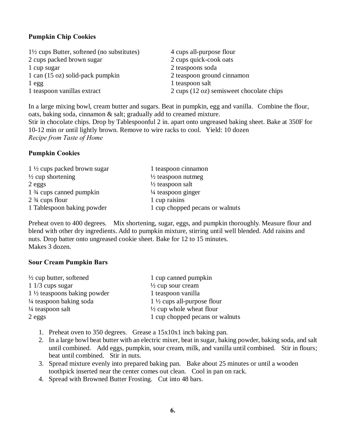#### **Pumpkin Chip Cookies**

| $1\frac{1}{2}$ cups Butter, softened (no substitutes) | 4 cups all-purpose flour                 |
|-------------------------------------------------------|------------------------------------------|
| 2 cups packed brown sugar                             | 2 cups quick-cook oats                   |
| 1 cup sugar                                           | 2 teaspoons soda                         |
| 1 can (15 oz) solid-pack pumpkin                      | 2 teaspoon ground cinnamon               |
| 1egg                                                  | 1 teaspoon salt                          |
| 1 teaspoon vanillas extract                           | 2 cups (12 oz) semisweet chocolate chips |

In a large mixing bowl, cream butter and sugars. Beat in pumpkin, egg and vanilla. Combine the flour, oats, baking soda, cinnamon & salt; gradually add to creamed mixture.

Stir in chocolate chips. Drop by Tablespoonful 2 in. apart onto ungreased baking sheet. Bake at 350F for 10-12 min or until lightly brown. Remove to wire racks to cool. Yield: 10 dozen *Recipe from Taste of Home*

#### **Pumpkin Cookies**

| $1\frac{1}{2}$ cups packed brown sugar            | 1 teaspoon cinnamon             |
|---------------------------------------------------|---------------------------------|
| $\frac{1}{2}$ cup shortening                      | $\frac{1}{2}$ teaspoon nutmeg   |
| 2 eggs                                            | $\frac{1}{2}$ teaspoon salt     |
| 1 <sup>3</sup> / <sub>4</sub> cups canned pumpkin | $\frac{1}{4}$ teaspoon ginger   |
| $2\frac{3}{4}$ cups flour                         | 1 cup raisins                   |
| 1 Tablespoon baking powder                        | 1 cup chopped pecans or walnuts |

Preheat oven to 400 degrees. Mix shortening, sugar, eggs, and pumpkin thoroughly. Measure flour and blend with other dry ingredients. Add to pumpkin mixture, stirring until well blended. Add raisins and nuts. Drop batter onto ungreased cookie sheet. Bake for 12 to 15 minutes. Makes 3 dozen.

#### **Sour Cream Pumpkin Bars**

| $\frac{1}{2}$ cup butter, softened     | 1 cup canned pumpkin                  |
|----------------------------------------|---------------------------------------|
| $11/3$ cups sugar                      | $\frac{1}{2}$ cup sour cream          |
| $1\frac{1}{2}$ teaspoons baking powder | 1 teaspoon vanilla                    |
| $\frac{1}{4}$ teaspoon baking soda     | $1\frac{1}{2}$ cups all-purpose flour |
| $\frac{1}{4}$ teaspoon salt            | $\frac{1}{2}$ cup whole wheat flour   |
| 2 eggs                                 | 1 cup chopped pecans or walnuts       |

- 1. Preheat oven to 350 degrees. Grease a 15x10x1 inch baking pan.
- 2. In a large bowl beat butter with an electric mixer, beat in sugar, baking powder, baking soda, and salt until combined. Add eggs, pumpkin, sour cream, milk, and vanilla until combined. Stir in flours; beat until combined. Stir in nuts.
- 3. Spread mixture evenly into prepared baking pan. Bake about 25 minutes or until a wooden toothpick inserted near the center comes out clean. Cool in pan on rack.
- 4. Spread with Browned Butter Frosting. Cut into 48 bars.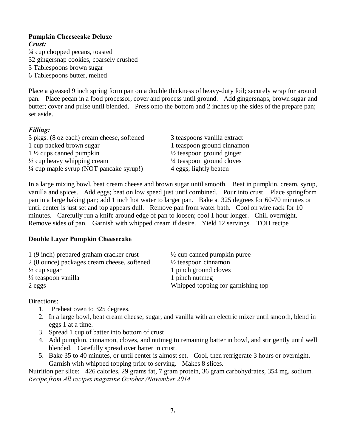#### **Pumpkin Cheesecake Deluxe**

*Crust:*  ¾ cup chopped pecans, toasted 32 gingersnap cookies, coarsely crushed 3 Tablespoons brown sugar 6 Tablespoons butter, melted

Place a greased 9 inch spring form pan on a double thickness of heavy-duty foil; securely wrap for around pan. Place pecan in a food processor, cover and process until ground. Add gingersnaps, brown sugar and butter; cover and pulse until blended. Press onto the bottom and 2 inches up the sides of the prepare pan; set aside.

#### *Filling:*

| 3 pkgs. (8 oz each) cream cheese, softened         | 3 teaspoons vanilla extract          |
|----------------------------------------------------|--------------------------------------|
| 1 cup packed brown sugar                           | 1 teaspoon ground cinnamon           |
| $1\frac{1}{2}$ cups canned pumpkin                 | $\frac{1}{2}$ teaspoon ground ginger |
| $\frac{1}{2}$ cup heavy whipping cream             | 1/4 teaspoon ground cloves           |
| $\frac{1}{4}$ cup maple syrup (NOT pancake syrup!) | 4 eggs, lightly beaten               |

In a large mixing bowl, beat cream cheese and brown sugar until smooth. Beat in pumpkin, cream, syrup, vanilla and spices. Add eggs; beat on low speed just until combined. Pour into crust. Place springform pan in a large baking pan; add 1 inch hot water to larger pan. Bake at 325 degrees for 60-70 minutes or until center is just set and top appears dull. Remove pan from water bath. Cool on wire rack for 10 minutes. Carefully run a knife around edge of pan to loosen; cool 1 hour longer. Chill overnight. Remove sides of pan. Garnish with whipped cream if desire. Yield 12 servings. TOH recipe

#### **Double Layer Pumpkin Cheesecake**

| $\frac{1}{2}$ cup canned pumpkin puree |
|----------------------------------------|
| $\frac{1}{2}$ teaspoon cinnamon        |
| 1 pinch ground cloves                  |
| 1 pinch nutmeg                         |
| Whipped topping for garnishing top     |
|                                        |

Directions:

- 1. Preheat oven to 325 degrees.
- 2. In a large bowl, beat cream cheese, sugar, and vanilla with an electric mixer until smooth, blend in eggs 1 at a time.
- 3. Spread 1 cup of batter into bottom of crust.
- 4. Add pumpkin, cinnamon, cloves, and nutmeg to remaining batter in bowl, and stir gently until well blended. Carefully spread over batter in crust.
- 5. Bake 35 to 40 minutes, or until center is almost set. Cool, then refrigerate 3 hours or overnight. Garnish with whipped topping prior to serving. Makes 8 slices.

Nutrition per slice: 426 calories, 29 grams fat, 7 gram protein, 36 gram carbohydrates, 354 mg. sodium. *Recipe from All recipes magazine October /November 2014*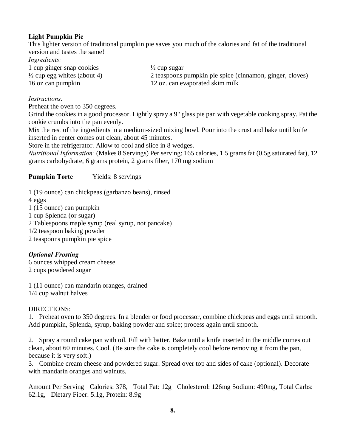#### **Light Pumpkin Pie**

This lighter version of traditional pumpkin pie saves you much of the calories and fat of the traditional version and tastes the same!

*Ingredients:* 

| 1 cup ginger snap cookies              | $\frac{1}{2}$ cup sugar                                  |
|----------------------------------------|----------------------------------------------------------|
| $\frac{1}{2}$ cup egg whites (about 4) | 2 teaspoons pumpkin pie spice (cinnamon, ginger, cloves) |
| 16 oz can pumpkin                      | 12 oz. can evaporated skim milk                          |

#### *Instructions:*

Preheat the oven to 350 degrees.

Grind the cookies in a good processor. Lightly spray a 9" glass pie pan with vegetable cooking spray. Pat the cookie crumbs into the pan evenly.

Mix the rest of the ingredients in a medium-sized mixing bowl. Pour into the crust and bake until knife inserted in center comes out clean, about 45 minutes.

Store in the refrigerator. Allow to cool and slice in 8 wedges.

*Nutritional Information:* (Makes 8 Servings) Per serving: 165 calories, 1.5 grams fat (0.5g saturated fat), 12 grams carbohydrate, 6 grams protein, 2 grams fiber, 170 mg sodium

#### **Pumpkin Torte** Yields: 8 servings

1 (19 ounce) can chickpeas (garbanzo beans), rinsed

4 eggs

1 (15 ounce) can pumpkin

1 cup Splenda (or sugar)

2 Tablespoons maple syrup (real syrup, not pancake)

1/2 teaspoon baking powder

2 teaspoons pumpkin pie spice

#### *Optional Frosting*

6 ounces whipped cream cheese 2 cups powdered sugar

1 (11 ounce) can mandarin oranges, drained 1/4 cup walnut halves

#### DIRECTIONS:

1. Preheat oven to 350 degrees. In a blender or food processor, combine chickpeas and eggs until smooth. Add pumpkin, Splenda, syrup, baking powder and spice; process again until smooth.

2. Spray a round cake pan with oil. Fill with batter. Bake until a knife inserted in the middle comes out clean, about 60 minutes. Cool. (Be sure the cake is completely cool before removing it from the pan, because it is very soft.)

3. Combine cream cheese and powdered sugar. Spread over top and sides of cake (optional). Decorate with mandarin oranges and walnuts.

Amount Per Serving Calories: 378, Total Fat: 12g Cholesterol: 126mg Sodium: 490mg, Total Carbs: 62.1g, Dietary Fiber: 5.1g, Protein: 8.9g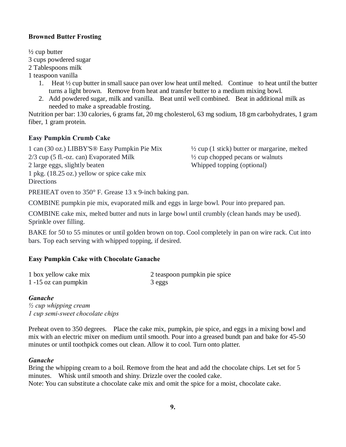#### **Browned Butter Frosting**

 $\frac{1}{2}$  cup butter 3 cups powdered sugar 2 Tablespoons milk

1 teaspoon vanilla

- 1. Heat ½ cup butter in small sauce pan over low heat until melted. Continue to heat until the butter turns a light brown. Remove from heat and transfer butter to a medium mixing bowl.
- 2. Add powdered sugar, milk and vanilla. Beat until well combined. Beat in additional milk as needed to make a spreadable frosting.

Nutrition per bar: 130 calories, 6 grams fat, 20 mg cholesterol, 63 mg sodium, 18 gm carbohydrates, 1 gram fiber, 1 gram protein.

#### **Easy Pumpkin Crumb Cake**

1 can (30 oz.) LIBBY'S® Easy Pumpkin Pie Mix ½ cup (1 stick) butter or margarine, melted 2/3 cup (5 fl.-oz. can) Evaporated Milk ½ cup chopped pecans or walnuts 2 large eggs, slightly beaten Whipped topping (optional) 1 pkg. (18.25 oz.) yellow or spice cake mix **Directions** 

PREHEAT oven to 350° F. Grease 13 x 9-inch baking pan.

COMBINE pumpkin pie mix, evaporated milk and eggs in large bowl. Pour into prepared pan.

COMBINE cake mix, melted butter and nuts in large bowl until crumbly (clean hands may be used). Sprinkle over filling.

BAKE for 50 to 55 minutes or until golden brown on top. Cool completely in pan on wire rack. Cut into bars. Top each serving with whipped topping, if desired.

#### **Easy Pumpkin Cake with Chocolate Ganache**

| 1 box yellow cake mix | 2 teaspoon pumpkin pie spice |
|-----------------------|------------------------------|
| 1 -15 oz can pumpkin  | 3 eggs                       |

#### *Ganache*

*½ cup whipping cream 1 cup semi-sweet chocolate chips*

Preheat oven to 350 degrees. Place the cake mix, pumpkin, pie spice, and eggs in a mixing bowl and mix with an electric mixer on medium until smooth. Pour into a greased bundt pan and bake for 45-50 minutes or until toothpick comes out clean. Allow it to cool. Turn onto platter.

#### *Ganache*

Bring the whipping cream to a boil. Remove from the heat and add the chocolate chips. Let set for 5 minutes. Whisk until smooth and shiny. Drizzle over the cooled cake. Note: You can substitute a chocolate cake mix and omit the spice for a moist, chocolate cake.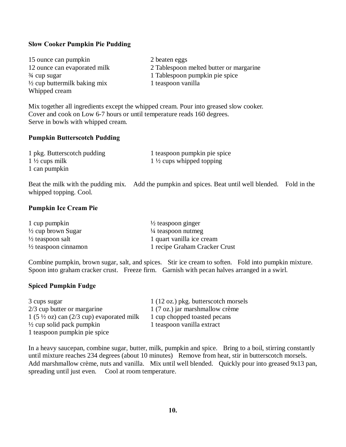#### **Slow Cooker Pumpkin Pie Pudding**

| 15 ounce can pumpkin                    | 2 beaten eggs                           |
|-----------------------------------------|-----------------------------------------|
| 12 ounce can evaporated milk            | 2 Tablespoon melted butter or margarine |
| $\frac{3}{4}$ cup sugar                 | 1 Tablespoon pumpkin pie spice          |
| $\frac{1}{2}$ cup buttermilk baking mix | 1 teaspoon vanilla                      |
| Whipped cream                           |                                         |

Mix together all ingredients except the whipped cream. Pour into greased slow cooker. Cover and cook on Low 6-7 hours or until temperature reads 160 degrees. Serve in bowls with whipped cream.

#### **Pumpkin Butterscotch Pudding**

| 1 pkg. Butterscotch pudding | 1 teaspoon pumpkin pie spice        |
|-----------------------------|-------------------------------------|
| 1 $\frac{1}{2}$ cups milk   | $1\frac{1}{2}$ cups whipped topping |
| 1 can pumpkin               |                                     |

Beat the milk with the pudding mix. Add the pumpkin and spices. Beat until well blended. Fold in the whipped topping. Cool.

#### **Pumpkin Ice Cream Pie**

| 1 cup pumpkin                   | $\frac{1}{2}$ teaspoon ginger |
|---------------------------------|-------------------------------|
| $\frac{1}{2}$ cup brown Sugar   | $\frac{1}{4}$ teaspoon nutmeg |
| $\frac{1}{2}$ teaspoon salt     | 1 quart vanilla ice cream     |
| $\frac{1}{2}$ teaspoon cinnamon | 1 recipe Graham Cracker Crust |

Combine pumpkin, brown sugar, salt, and spices. Stir ice cream to soften. Fold into pumpkin mixture. Spoon into graham cracker crust. Freeze firm. Garnish with pecan halves arranged in a swirl.

#### **Spiced Pumpkin Fudge**

| 3 cups sugar                                                         | 1 (12 oz.) pkg. butterscotch morsels |
|----------------------------------------------------------------------|--------------------------------------|
| 2/3 cup butter or margarine                                          | 1 (7 oz.) jar marshmallow crème      |
| $1(5\frac{1}{2} \text{ oz})$ can $(2/3 \text{ cup})$ evaporated milk | 1 cup chopped toasted pecans         |
| $\frac{1}{2}$ cup solid pack pumpkin                                 | 1 teaspoon vanilla extract           |
| 1 teaspoon pumpkin pie spice                                         |                                      |

In a heavy saucepan, combine sugar, butter, milk, pumpkin and spice. Bring to a boil, stirring constantly until mixture reaches 234 degrees (about 10 minutes) Remove from heat, stir in butterscotch morsels. Add marshmallow crème, nuts and vanilla. Mix until well blended. Quickly pour into greased 9x13 pan, spreading until just even. Cool at room temperature.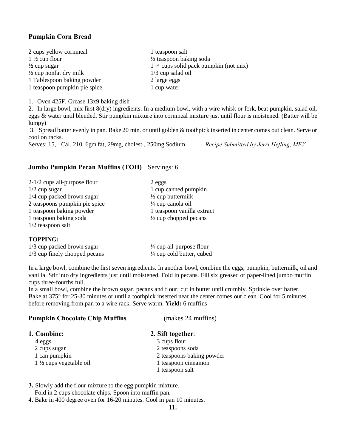#### **Pumpkin Corn Bread**

| 2 cups yellow cornmeal            | 1 teaspoon salt                                  |
|-----------------------------------|--------------------------------------------------|
| $1\frac{1}{2}$ cup flour          | $\frac{1}{2}$ teaspoon baking soda               |
| $\frac{1}{2}$ cup sugar           | $1\frac{1}{4}$ cups solid pack pumpkin (not mix) |
| $\frac{1}{2}$ cup nonfat dry milk | $1/3$ cup salad oil                              |
| 1 Tablespoon baking powder        | 2 large eggs                                     |
| 1 teaspoon pumpkin pie spice      | 1 cup water                                      |

1. Oven 425F. Grease 13x9 baking dish

2. In large bowl, mix first 8(dry) ingredients. In a medium bowl, with a wire whisk or fork, beat pumpkin, salad oil, eggs & water until blended. Stir pumpkin mixture into cornmeal mixture just until flour is moistened. (Batter will be lumpy)

3. Spread batter evenly in pan. Bake 20 min. or until golden & toothpick inserted in center comes out clean. Serve or cool on racks.

Serves: 15, Cal. 210, 6gm fat, 29mg, cholest., 250mg Sodium *Recipe Submitted by Jerri Hefling, MFV*

#### **Jumbo Pumpkin Pecan Muffins (TOH)** Servings: 6

| $2-1/2$ cups all-purpose flour | 2 eggs                           |
|--------------------------------|----------------------------------|
| $1/2$ cup sugar                | 1 cup canned pumpkin             |
| 1/4 cup packed brown sugar     | $\frac{1}{2}$ cup buttermilk     |
| 2 teaspoons pumpkin pie spice  | $\frac{1}{4}$ cup canola oil     |
| 1 teaspoon baking powder       | 1 teaspoon vanilla extract       |
| 1 teaspoon baking soda         | $\frac{1}{2}$ cup chopped pecans |
| $1/2$ teaspoon salt            |                                  |
|                                |                                  |

#### **TOPPING:**

| 1/3 cup packed brown sugar    | $\frac{1}{4}$ cup all-purpose flour  |
|-------------------------------|--------------------------------------|
| 1/3 cup finely chopped pecans | $\frac{1}{4}$ cup cold butter, cubed |

In a large bowl, combine the first seven ingredients. In another bowl, combine the eggs, pumpkin, buttermilk, oil and vanilla. Stir into dry ingredients just until moistened. Fold in pecans. Fill six greased or paper-lined jumbo muffin cups three-fourths full.

In a small bowl, combine the brown sugar, pecans and flour; cut in butter until crumbly. Sprinkle over batter. Bake at 375° for 25-30 minutes or until a toothpick inserted near the center comes out clean. Cool for 5 minutes before removing from pan to a wire rack. Serve warm. **Yield:** 6 muffins

| <b>Pumpkin Chocolate Chip Muffins</b> | (makes 24 muffins)        |
|---------------------------------------|---------------------------|
| 1. Combine:                           | 2. Sift together:         |
| 4 eggs                                | 3 cups flour              |
| 2 cups sugar                          | 2 teaspoons soda          |
| 1 can pumpkin                         | 2 teaspoons baking powder |
| $1\frac{1}{2}$ cups vegetable oil     | 1 teaspoon cinnamon       |
|                                       | 1 teaspoon salt           |
|                                       |                           |

**3.** Slowly add the flour mixture to the egg pumpkin mixture. Fold in 2 cups chocolate chips. Spoon into muffin pan.

**4.** Bake in 400 degree oven for 16-20 minutes. Cool in pan 10 minutes.